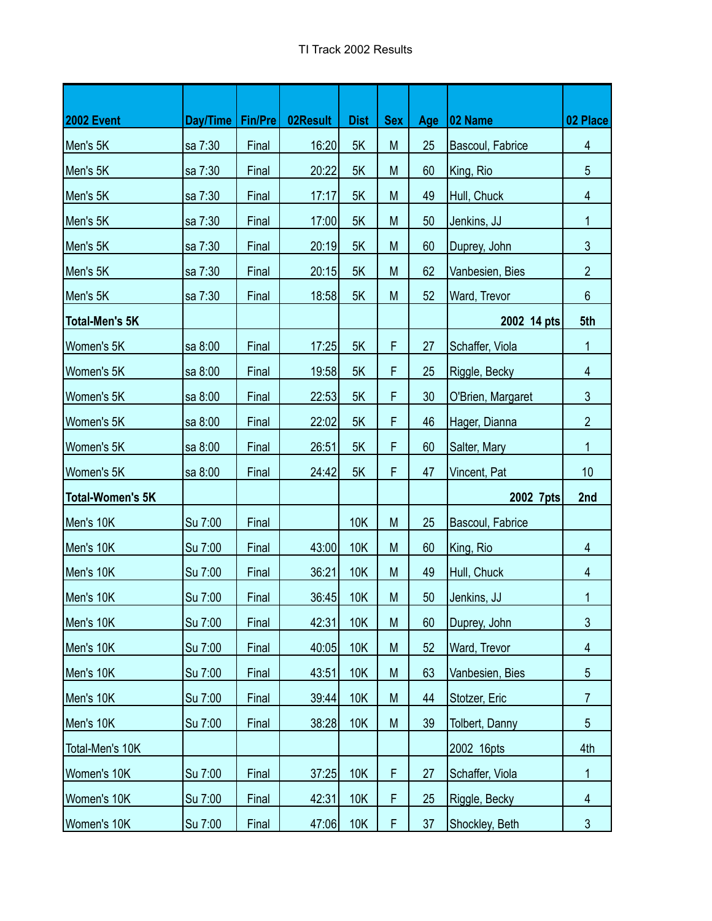| <b>2002 Event</b>       | Day/Time   Fin/Pre |       | 02Result | <b>Dist</b> | <b>Sex</b> | Age | <b>02 Name</b>        | 02 Place        |
|-------------------------|--------------------|-------|----------|-------------|------------|-----|-----------------------|-----------------|
| Men's 5K                | sa 7:30            | Final | 16:20    | 5K          | M          | 25  | Bascoul, Fabrice      | $\overline{4}$  |
| Men's 5K                | sa 7:30            | Final | 20:22    | 5K          | M          | 60  | King, Rio             | 5               |
| Men's 5K                | sa 7:30            | Final | 17:17    | 5K          | M          | 49  | Hull, Chuck           | 4               |
| Men's 5K                | sa 7:30            | Final | 17:00    | 5K          | M          | 50  | Jenkins, JJ           | 1               |
| Men's 5K                | sa 7:30            | Final | 20:19    | 5K          | M          | 60  | Duprey, John          | $\mathfrak{Z}$  |
| Men's 5K                | sa 7:30            | Final | 20:15    | 5K          | M          | 62  | Vanbesien, Bies       | $\overline{2}$  |
| Men's 5K                | sa 7:30            | Final | 18:58    | 5K          | M          | 52  | Ward, Trevor          | $6\phantom{1}$  |
| <b>Total-Men's 5K</b>   |                    |       |          |             |            |     | 2002 14 pts           | 5th             |
| Women's 5K              | sa 8:00            | Final | 17:25    | 5K          | F          | 27  | Schaffer, Viola       | 1               |
| Women's 5K              | sa 8:00            | Final | 19:58    | 5K          | F          | 25  | Riggle, Becky         | $\overline{4}$  |
| Women's 5K              | sa 8:00            | Final | 22:53    | 5K          | F          | 30  | O'Brien, Margaret     | $\mathfrak{S}$  |
| Women's 5K              | sa 8:00            | Final | 22:02    | 5K          | F          | 46  | Hager, Dianna         | $\overline{2}$  |
| Women's 5K              | sa 8:00            | Final | 26:51    | 5K          | F          | 60  | Salter, Mary          | 1               |
| Women's 5K              | sa 8:00            | Final | 24:42    | 5K          | F          | 47  | Vincent, Pat          | 10              |
| <b>Total-Women's 5K</b> |                    |       |          |             |            |     | 2002 7pts             | 2nd             |
| Men's 10K               | Su 7:00            | Final |          | 10K         | M          | 25  | Bascoul, Fabrice      |                 |
| Men's 10K               | Su 7:00            | Final | 43:00    | <b>10K</b>  | M          | 60  | King, Rio             | $\overline{4}$  |
| Men's 10K               | Su 7:00            | Final | 36:21    | 10K         | M          | 49  | Hull, Chuck           | 4               |
| Men's 10K               | Su 7:00            | Final | 36:45    | <b>10K</b>  | M          | 50  | Jenkins, JJ           | 1               |
| Men's 10K               | Su 7:00            | Final | 42:31    | 10K         | M          | 60  | Duprey, John          | $\mathfrak{Z}$  |
| Men's 10K               | Su 7:00            | Final | 40:05    | 10K         | M          | 52  | Ward, Trevor          | $\overline{4}$  |
| Men's 10K               | Su 7:00            | Final | 43:51    | 10K         | M          | 63  | Vanbesien, Bies       | 5               |
| Men's 10K               | Su 7:00            | Final | 39:44    | 10K         | M          | 44  | Stotzer, Eric         | $\overline{7}$  |
| Men's 10K               | Su 7:00            | Final | 38:28    | 10K         | M          | 39  | <b>Tolbert, Danny</b> | $5\phantom{.0}$ |
| Total-Men's 10K         |                    |       |          |             |            |     | 2002 16pts            | 4th             |
| Women's 10K             | Su 7:00            | Final | 37:25    | 10K         | F          | 27  | Schaffer, Viola       | $\mathbf{1}$    |
| Women's 10K             | Su 7:00            | Final | 42:31    | 10K         | F          | 25  | Riggle, Becky         | $\overline{4}$  |
| Women's 10K             | Su 7:00            | Final | 47:06    | 10K         | F          | 37  | Shockley, Beth        | $\mathfrak{Z}$  |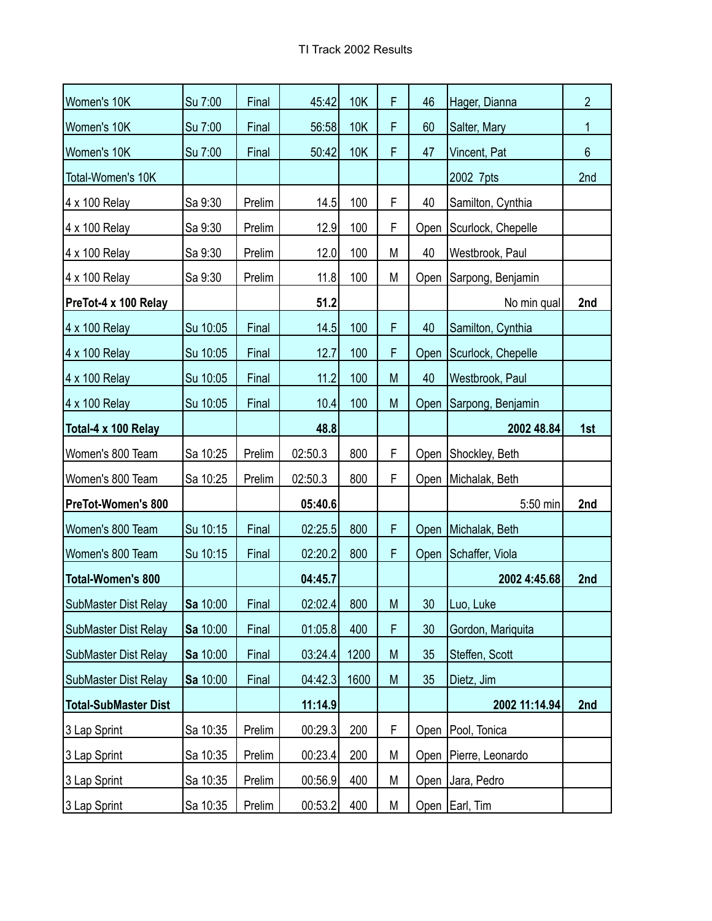| Women's 10K                 | Su 7:00  | Final  | 45:42   | <b>10K</b> | F | 46              | Hager, Dianna           | $\overline{2}$ |
|-----------------------------|----------|--------|---------|------------|---|-----------------|-------------------------|----------------|
| Women's 10K                 | Su 7:00  | Final  | 56:58   | 10K        | F | 60              | Salter, Mary            | 1              |
| Women's 10K                 | Su 7:00  | Final  | 50:42   | <b>10K</b> | F | 47              | Vincent, Pat            | $6\phantom{a}$ |
| Total-Women's 10K           |          |        |         |            |   |                 | 2002 7pts               | 2nd            |
| 4 x 100 Relay               | Sa 9:30  | Prelim | 14.5    | 100        | F | 40              | Samilton, Cynthia       |                |
| 4 x 100 Relay               | Sa 9:30  | Prelim | 12.9    | 100        | F | Open            | Scurlock, Chepelle      |                |
| 4 x 100 Relay               | Sa 9:30  | Prelim | 12.0    | 100        | M | 40              | Westbrook, Paul         |                |
| 4 x 100 Relay               | Sa 9:30  | Prelim | 11.8    | 100        | M | Open            | Sarpong, Benjamin       |                |
| PreTot-4 x 100 Relay        |          |        | 51.2    |            |   |                 | No min qual             | 2nd            |
| 4 x 100 Relay               | Su 10:05 | Final  | 14.5    | 100        | F | 40              | Samilton, Cynthia       |                |
| 4 x 100 Relay               | Su 10:05 | Final  | 12.7    | 100        | F | Open            | Scurlock, Chepelle      |                |
| 4 x 100 Relay               | Su 10:05 | Final  | 11.2    | 100        | M | 40              | Westbrook, Paul         |                |
| 4 x 100 Relay               | Su 10:05 | Final  | 10.4    | 100        | M | Open            | Sarpong, Benjamin       |                |
| Total-4 x 100 Relay         |          |        | 48.8    |            |   |                 | 2002 48.84              | 1st            |
| Women's 800 Team            | Sa 10:25 | Prelim | 02:50.3 | 800        | F | Open            | Shockley, Beth          |                |
| Women's 800 Team            | Sa 10:25 | Prelim | 02:50.3 | 800        | F | Open            | Michalak, Beth          |                |
| <b>PreTot-Women's 800</b>   |          |        | 05:40.6 |            |   |                 | 5:50 min                | 2nd            |
| Women's 800 Team            | Su 10:15 | Final  | 02:25.5 | 800        | F |                 | Open Michalak, Beth     |                |
| Women's 800 Team            | Su 10:15 | Final  | 02:20.2 | 800        | F | Open            | Schaffer, Viola         |                |
| <b>Total-Women's 800</b>    |          |        | 04:45.7 |            |   |                 | 2002 4:45.68            | 2nd            |
| SubMaster Dist Relay        | Sa 10:00 | Final  | 02:02.4 | 800        | M | 30 <sub>2</sub> | Luo, Luke               |                |
| SubMaster Dist Relay        | Sa 10:00 | Final  | 01:05.8 | 400        | F | 30              | Gordon, Mariquita       |                |
| <b>SubMaster Dist Relay</b> | Sa 10:00 | Final  | 03:24.4 | 1200       | M | 35              | Steffen, Scott          |                |
| <b>SubMaster Dist Relay</b> | Sa 10:00 | Final  | 04:42.3 | 1600       | M | 35              | Dietz, Jim              |                |
| <b>Total-SubMaster Dist</b> |          |        | 11:14.9 |            |   |                 | 2002 11:14.94           | 2nd            |
| 3 Lap Sprint                | Sa 10:35 | Prelim | 00:29.3 | 200        | F | Open            | Pool, Tonica            |                |
| 3 Lap Sprint                | Sa 10:35 | Prelim | 00:23.4 | 200        | Μ |                 | Open   Pierre, Leonardo |                |
| 3 Lap Sprint                | Sa 10:35 | Prelim | 00:56.9 | 400        | М | Open            | Jara, Pedro             |                |
| 3 Lap Sprint                | Sa 10:35 | Prelim | 00:53.2 | 400        | Μ |                 | Open Earl, Tim          |                |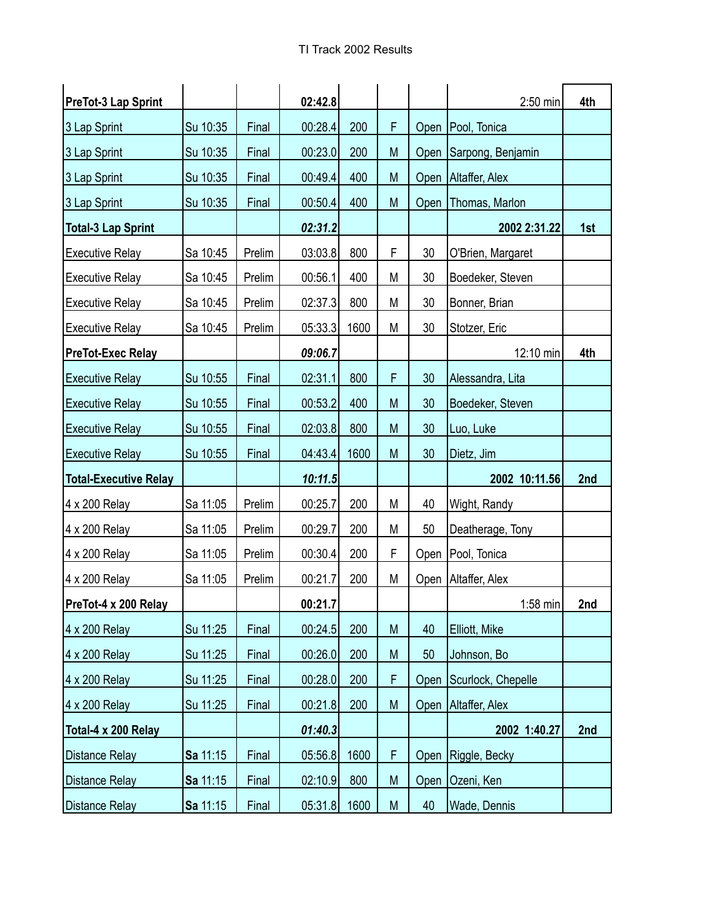| <b>PreTot-3 Lap Sprint</b>   |          |        | 02:42.8 |      |   |      | $2:50$ min          | 4th |
|------------------------------|----------|--------|---------|------|---|------|---------------------|-----|
| 3 Lap Sprint                 | Su 10:35 | Final  | 00:28.4 | 200  | F |      | Open   Pool, Tonica |     |
| 3 Lap Sprint                 | Su 10:35 | Final  | 00:23.0 | 200  | M | Open | Sarpong, Benjamin   |     |
| 3 Lap Sprint                 | Su 10:35 | Final  | 00:49.4 | 400  | M | Open | Altaffer, Alex      |     |
| 3 Lap Sprint                 | Su 10:35 | Final  | 00:50.4 | 400  | M | Open | Thomas, Marlon      |     |
| <b>Total-3 Lap Sprint</b>    |          |        | 02:31.2 |      |   |      | 2002 2:31.22        | 1st |
| <b>Executive Relay</b>       | Sa 10:45 | Prelim | 03:03.8 | 800  | F | 30   | O'Brien, Margaret   |     |
| <b>Executive Relay</b>       | Sa 10:45 | Prelim | 00:56.1 | 400  | M | 30   | Boedeker, Steven    |     |
| <b>Executive Relay</b>       | Sa 10:45 | Prelim | 02:37.3 | 800  | Μ | 30   | Bonner, Brian       |     |
| <b>Executive Relay</b>       | Sa 10:45 | Prelim | 05:33.3 | 1600 | M | 30   | Stotzer, Eric       |     |
| <b>PreTot-Exec Relay</b>     |          |        | 09:06.7 |      |   |      | 12:10 min           | 4th |
| <b>Executive Relay</b>       | Su 10:55 | Final  | 02:31.1 | 800  | F | 30   | Alessandra, Lita    |     |
| <b>Executive Relay</b>       | Su 10:55 | Final  | 00:53.2 | 400  | M | 30   | Boedeker, Steven    |     |
| <b>Executive Relay</b>       | Su 10:55 | Final  | 02:03.8 | 800  | M | 30   | Luo, Luke           |     |
| <b>Executive Relay</b>       | Su 10:55 | Final  | 04:43.4 | 1600 | M | 30   | Dietz, Jim          |     |
| <b>Total-Executive Relay</b> |          |        | 10:11.5 |      |   |      | 2002 10:11.56       | 2nd |
| 4 x 200 Relay                | Sa 11:05 | Prelim | 00:25.7 | 200  | M | 40   | Wight, Randy        |     |
| 4 x 200 Relay                | Sa 11:05 | Prelim | 00:29.7 | 200  | M | 50   | Deatherage, Tony    |     |
| 4 x 200 Relay                | Sa 11:05 | Prelim | 00:30.4 | 200  | F | Open | Pool, Tonica        |     |
| 4 x 200 Relay                | Sa 11:05 | Prelim | 00:21.7 | 200  | M | Open | Altaffer, Alex      |     |
| PreTot-4 x 200 Relay         |          |        | 00:21.7 |      |   |      | $1:58$ min          | 2nd |
| 4 x 200 Relay                | Su 11:25 | Final  | 00:24.5 | 200  | M | 40   | Elliott, Mike       |     |
| 4 x 200 Relay                | Su 11:25 | Final  | 00:26.0 | 200  | M | 50   | Johnson, Bo         |     |
| 4 x 200 Relay                | Su 11:25 | Final  | 00:28.0 | 200  | F | Open | Scurlock, Chepelle  |     |
| 4 x 200 Relay                | Su 11:25 | Final  | 00:21.8 | 200  | M | Open | Altaffer, Alex      |     |
| Total-4 x 200 Relay          |          |        | 01:40.3 |      |   |      | 2002 1:40.27        | 2nd |
| Distance Relay               | Sa 11:15 | Final  | 05:56.8 | 1600 | F | Open | Riggle, Becky       |     |
| <b>Distance Relay</b>        | Sa 11:15 | Final  | 02:10.9 | 800  | M | Open | Ozeni, Ken          |     |
| Distance Relay               | Sa 11:15 | Final  | 05:31.8 | 1600 | M | 40   | Wade, Dennis        |     |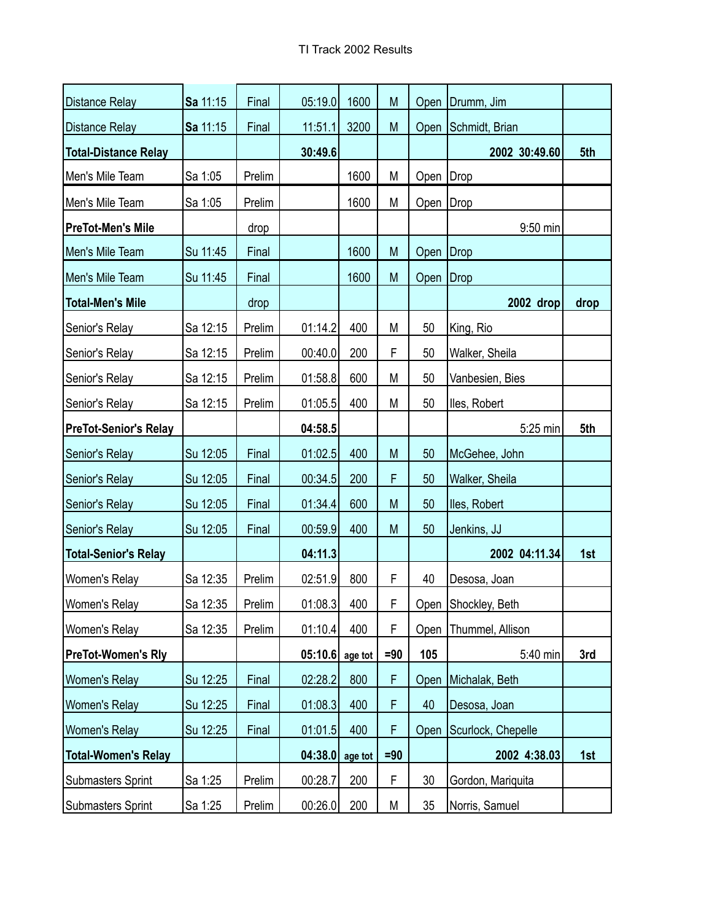| <b>Distance Relay</b>        | Sa 11:15 | Final  | 05:19.0 | 1600    | M      | Open        | Drumm, Jim          |      |
|------------------------------|----------|--------|---------|---------|--------|-------------|---------------------|------|
| <b>Distance Relay</b>        | Sa 11:15 | Final  | 11:51.1 | 3200    | M      | Open        | Schmidt, Brian      |      |
| <b>Total-Distance Relay</b>  |          |        | 30:49.6 |         |        |             | 2002 30:49.60       | 5th  |
| Men's Mile Team              | Sa 1:05  | Prelim |         | 1600    | M      | Open   Drop |                     |      |
| Men's Mile Team              | Sa 1:05  | Prelim |         | 1600    | M      | Open        | Drop                |      |
| <b>PreTot-Men's Mile</b>     |          | drop   |         |         |        |             | 9:50 min            |      |
| Men's Mile Team              | Su 11:45 | Final  |         | 1600    | M      | Open        | Drop                |      |
| Men's Mile Team              | Su 11:45 | Final  |         | 1600    | M      | Open        | Drop                |      |
| <b>Total-Men's Mile</b>      |          | drop   |         |         |        |             | 2002 drop           | drop |
| Senior's Relay               | Sa 12:15 | Prelim | 01:14.2 | 400     | M      | 50          | King, Rio           |      |
| Senior's Relay               | Sa 12:15 | Prelim | 00:40.0 | 200     | F      | 50          | Walker, Sheila      |      |
| Senior's Relay               | Sa 12:15 | Prelim | 01:58.8 | 600     | М      | 50          | Vanbesien, Bies     |      |
| Senior's Relay               | Sa 12:15 | Prelim | 01:05.5 | 400     | M      | 50          | lles, Robert        |      |
| <b>PreTot-Senior's Relay</b> |          |        | 04:58.5 |         |        |             | 5:25 min            | 5th  |
| Senior's Relay               | Su 12:05 | Final  | 01:02.5 | 400     | M      | 50          | McGehee, John       |      |
| Senior's Relay               | Su 12:05 | Final  | 00:34.5 | 200     | F      | 50          | Walker, Sheila      |      |
| Senior's Relay               | Su 12:05 | Final  | 01:34.4 | 600     | M      | 50          | lles, Robert        |      |
| Senior's Relay               | Su 12:05 | Final  | 00:59.9 | 400     | M      | 50          | Jenkins, JJ         |      |
| <b>Total-Senior's Relay</b>  |          |        | 04:11.3 |         |        |             | 2002 04:11.34       | 1st  |
| Women's Relay                | Sa 12:35 | Prelim | 02:51.9 | 800     | F      | 40          | Desosa, Joan        |      |
| Women's Relay                | Sa 12:35 | Prelim | 01:08.3 | 400     | F      |             | Open Shockley, Beth |      |
| <b>Women's Relay</b>         | Sa 12:35 | Prelim | 01:10.4 | 400     | F      | Open        | Thummel, Allison    |      |
| <b>PreTot-Women's Rly</b>    |          |        | 05:10.6 | age tot | $= 90$ | 105         | 5:40 min            | 3rd  |
| <b>Women's Relay</b>         | Su 12:25 | Final  | 02:28.2 | 800     | F      | Open        | Michalak, Beth      |      |
| <b>Women's Relay</b>         | Su 12:25 | Final  | 01:08.3 | 400     | F      | 40          | Desosa, Joan        |      |
| <b>Women's Relay</b>         | Su 12:25 | Final  | 01:01.5 | 400     | F      | Open        | Scurlock, Chepelle  |      |
| <b>Total-Women's Relay</b>   |          |        | 04:38.0 | age tot | $=90$  |             | 2002 4:38.03        | 1st  |
| <b>Submasters Sprint</b>     | Sa 1:25  | Prelim | 00:28.7 | 200     | F      | 30          | Gordon, Mariquita   |      |
| Submasters Sprint            | Sa 1:25  | Prelim | 00:26.0 | 200     | M      | 35          | Norris, Samuel      |      |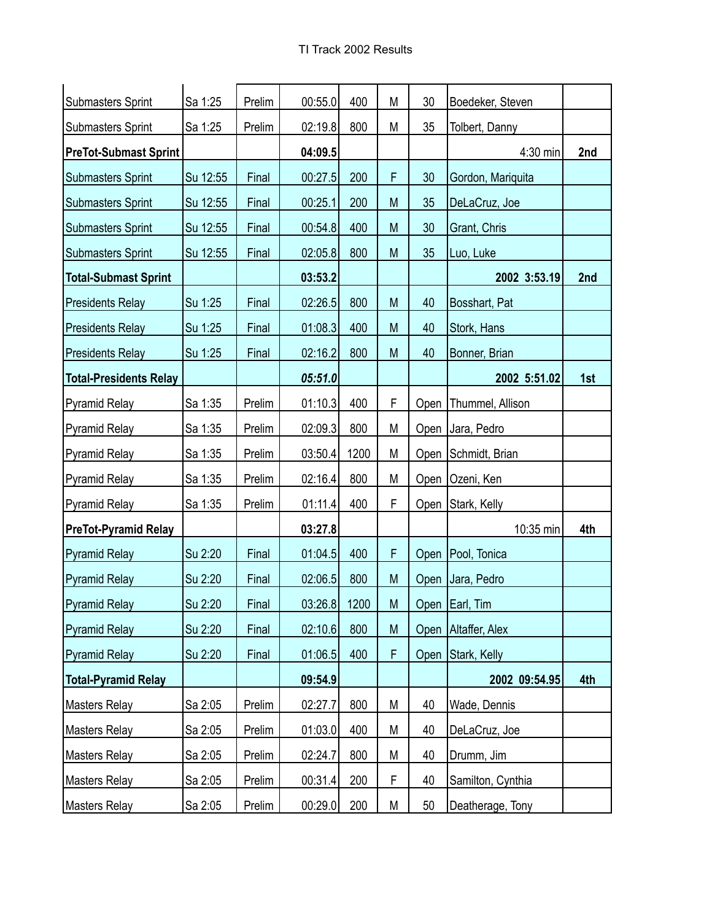| Submasters Sprint             | Sa 1:25  | Prelim | 00:55.0 | 400  | M | 30   | Boedeker, Steven  |     |
|-------------------------------|----------|--------|---------|------|---|------|-------------------|-----|
| <b>Submasters Sprint</b>      | Sa 1:25  | Prelim | 02:19.8 | 800  | М | 35   | Tolbert, Danny    |     |
| <b>PreTot-Submast Sprint</b>  |          |        | 04:09.5 |      |   |      | 4:30 min          | 2nd |
| Submasters Sprint             | Su 12:55 | Final  | 00:27.5 | 200  | F | 30   | Gordon, Mariquita |     |
| <b>Submasters Sprint</b>      | Su 12:55 | Final  | 00:25.1 | 200  | M | 35   | DeLaCruz, Joe     |     |
| <b>Submasters Sprint</b>      | Su 12:55 | Final  | 00:54.8 | 400  | M | 30   | Grant, Chris      |     |
| <b>Submasters Sprint</b>      | Su 12:55 | Final  | 02:05.8 | 800  | M | 35   | Luo, Luke         |     |
| <b>Total-Submast Sprint</b>   |          |        | 03:53.2 |      |   |      | 2002 3:53.19      | 2nd |
| <b>Presidents Relay</b>       | Su 1:25  | Final  | 02:26.5 | 800  | M | 40   | Bosshart, Pat     |     |
| <b>Presidents Relay</b>       | Su 1:25  | Final  | 01:08.3 | 400  | M | 40   | Stork, Hans       |     |
| <b>Presidents Relay</b>       | Su 1:25  | Final  | 02:16.2 | 800  | M | 40   | Bonner, Brian     |     |
| <b>Total-Presidents Relay</b> |          |        | 05:51.0 |      |   |      | 2002 5:51.02      | 1st |
| Pyramid Relay                 | Sa 1:35  | Prelim | 01:10.3 | 400  | F | Open | Thummel, Allison  |     |
| Pyramid Relay                 | Sa 1:35  | Prelim | 02:09.3 | 800  | M | Open | Jara, Pedro       |     |
| Pyramid Relay                 | Sa 1:35  | Prelim | 03:50.4 | 1200 | М | Open | Schmidt, Brian    |     |
| Pyramid Relay                 | Sa 1:35  | Prelim | 02:16.4 | 800  | M | Open | Ozeni, Ken        |     |
| Pyramid Relay                 | Sa 1:35  | Prelim | 01:11.4 | 400  | F |      | Open Stark, Kelly |     |
| <b>PreTot-Pyramid Relay</b>   |          |        | 03:27.8 |      |   |      | 10:35 min         | 4th |
| Pyramid Relay                 | Su 2:20  | Final  | 01:04.5 | 400  | F | Open | Pool, Tonica      |     |
| Pyramid Relay                 | Su 2:20  | Final  | 02:06.5 | 800  | M |      | Open Jara, Pedro  |     |
| <b>Pyramid Relay</b>          | Su 2:20  | Final  | 03:26.8 | 1200 | M |      | Open Earl, Tim    |     |
| Pyramid Relay                 | Su 2:20  | Final  | 02:10.6 | 800  | M | Open | Altaffer, Alex    |     |
| Pyramid Relay                 | Su 2:20  | Final  | 01:06.5 | 400  | F | Open | Stark, Kelly      |     |
| <b>Total-Pyramid Relay</b>    |          |        | 09:54.9 |      |   |      | 2002 09:54.95     | 4th |
| Masters Relay                 | Sa 2:05  | Prelim | 02:27.7 | 800  | M | 40   | Wade, Dennis      |     |
| Masters Relay                 | Sa 2:05  | Prelim | 01:03.0 | 400  | Μ | 40   | DeLaCruz, Joe     |     |
| Masters Relay                 | Sa 2:05  | Prelim | 02:24.7 | 800  | Μ | 40   | Drumm, Jim        |     |
| Masters Relay                 | Sa 2:05  | Prelim | 00:31.4 | 200  | F | 40   | Samilton, Cynthia |     |
| Masters Relay                 | Sa 2:05  | Prelim | 00:29.0 | 200  | M | 50   | Deatherage, Tony  |     |